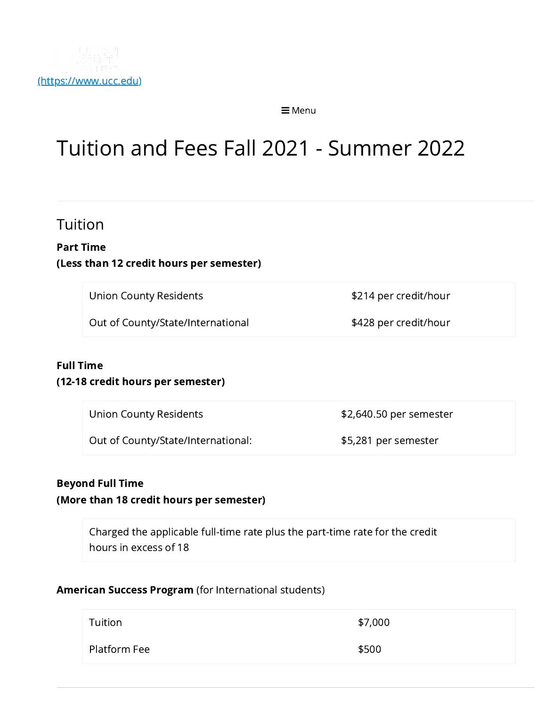

 $\equiv$  Menu

# Tuition and Fees Fall 2021 - Summer 2022

## Tuition

#### Part Time (Less than 12 credit hours per semester)

Union County Residents **\$214** per credit/hour

Out of County/State/International \$428 per credit/hour

#### Full Time

#### (12-18 credit hours per semester)

Union County Residents **\$2,640.50 per semester** 

Out of County/State/International: \$5,281 per semester

#### Beyond Full Time

(More than 18 credit hours per semester)

Charged the applicable full-time rate plus the part-time rate for the credit hours in excess of 18

#### American Success Program (for International students)

| Tuition      | \$7,000 |
|--------------|---------|
| Platform Fee | \$500   |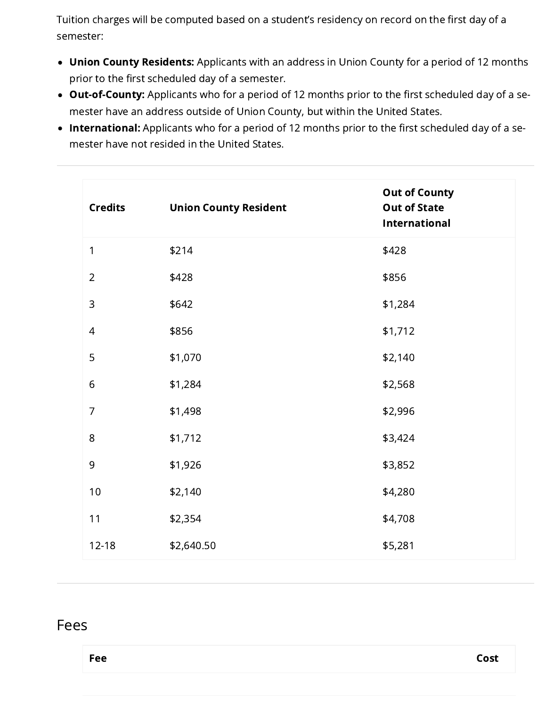Tuition charges will be computed based on a student's residency on record on the first day of a semester:

- Union County Residents: Applicants with an address in Union County for a period of 12 months prior to the first scheduled day of a semester.
- Out-of-County: Applicants who for a period of 12 months prior to the first scheduled day of a semester have an address outside of Union County, but within the United States.
- International: Applicants who for a period of 12 months prior to the first scheduled day of a semester have not resided in the United States.

| <b>Credits</b> | <b>Union County Resident</b> | <b>Out of County</b><br><b>Out of State</b><br><b>International</b> |
|----------------|------------------------------|---------------------------------------------------------------------|
| 1              | \$214                        | \$428                                                               |
| $\overline{2}$ | \$428                        | \$856                                                               |
| $\mathsf 3$    | \$642                        | \$1,284                                                             |
| $\overline{4}$ | \$856                        | \$1,712                                                             |
| 5              | \$1,070                      | \$2,140                                                             |
| $\sqrt{6}$     | \$1,284                      | \$2,568                                                             |
| $\overline{7}$ | \$1,498                      | \$2,996                                                             |
| $\,8\,$        | \$1,712                      | \$3,424                                                             |
| $\mathsf 9$    | \$1,926                      | \$3,852                                                             |
| $10$           | \$2,140                      | \$4,280                                                             |
| 11             | \$2,354                      | \$4,708                                                             |
| 12-18          | \$2,640.50                   | \$5,281                                                             |

### Fees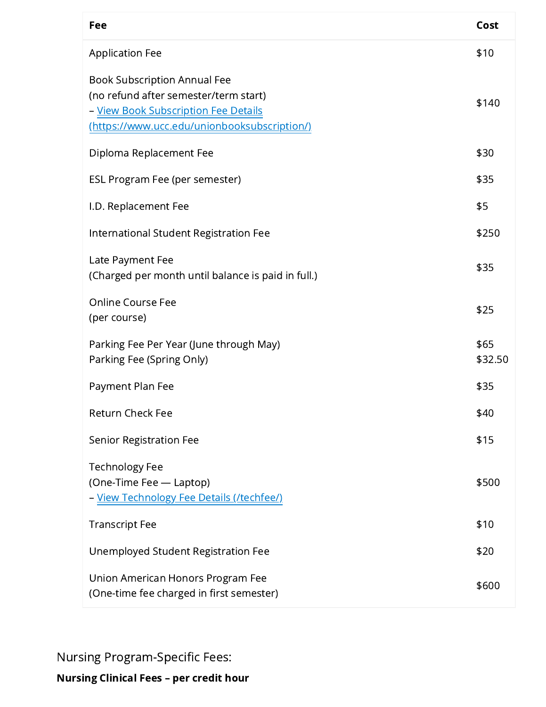| Fee                                                                                                                                                                  | Cost            |
|----------------------------------------------------------------------------------------------------------------------------------------------------------------------|-----------------|
| <b>Application Fee</b>                                                                                                                                               | \$10            |
| <b>Book Subscription Annual Fee</b><br>(no refund after semester/term start)<br>- View Book Subscription Fee Details<br>(https://www.ucc.edu/unionbooksubscription/) | \$140           |
| Diploma Replacement Fee                                                                                                                                              | \$30            |
| ESL Program Fee (per semester)                                                                                                                                       | \$35            |
| I.D. Replacement Fee                                                                                                                                                 | \$5             |
| International Student Registration Fee                                                                                                                               | \$250           |
| Late Payment Fee<br>(Charged per month until balance is paid in full.)                                                                                               | \$35            |
| <b>Online Course Fee</b><br>(per course)                                                                                                                             | \$25            |
| Parking Fee Per Year (June through May)<br>Parking Fee (Spring Only)                                                                                                 | \$65<br>\$32.50 |
| Payment Plan Fee                                                                                                                                                     | \$35            |
| Return Check Fee                                                                                                                                                     | \$40            |
| <b>Senior Registration Fee</b>                                                                                                                                       | \$15            |
| <b>Technology Fee</b><br>(One-Time Fee - Laptop)<br>- View Technology Fee Details (/techfee/)                                                                        | \$500           |
| <b>Transcript Fee</b>                                                                                                                                                | \$10            |
| Unemployed Student Registration Fee                                                                                                                                  | \$20            |
| Union American Honors Program Fee<br>(One-time fee charged in first semester)                                                                                        | \$600           |

Nursing Program-Specific Fees:

Nursing Clinical Fees – per credit hour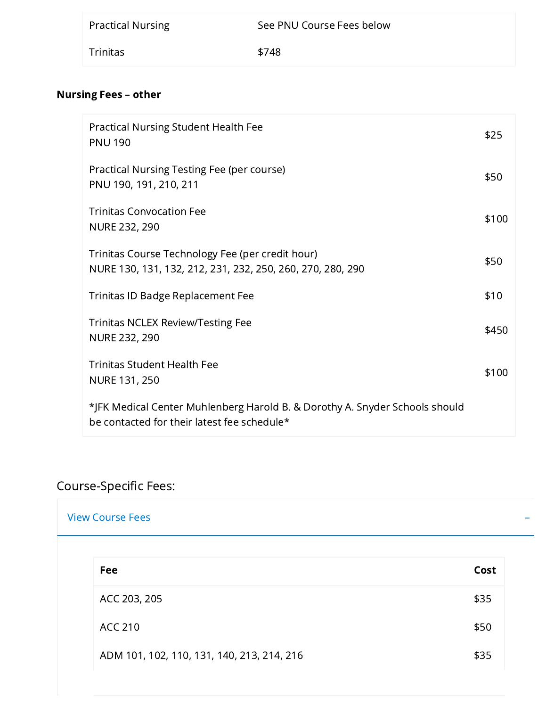| <b>Practical Nursing</b> | See PNU Course Fees below |
|--------------------------|---------------------------|
| Trinitas                 | \$748                     |

## Nursing Fees – other

| <b>Practical Nursing Student Health Fee</b><br><b>PNU 190</b>                                                              | \$25  |
|----------------------------------------------------------------------------------------------------------------------------|-------|
| Practical Nursing Testing Fee (per course)<br>PNU 190, 191, 210, 211                                                       | \$50  |
| <b>Trinitas Convocation Fee</b><br>NURE 232, 290                                                                           | \$100 |
| Trinitas Course Technology Fee (per credit hour)<br>NURE 130, 131, 132, 212, 231, 232, 250, 260, 270, 280, 290             | \$50  |
| Trinitas ID Badge Replacement Fee                                                                                          | \$10  |
| <b>Trinitas NCLEX Review/Testing Fee</b><br>NURE 232, 290                                                                  | \$450 |
| <b>Trinitas Student Health Fee</b><br><b>NURE 131, 250</b>                                                                 | \$100 |
| *JFK Medical Center Muhlenberg Harold B. & Dorothy A. Snyder Schools should<br>be contacted for their latest fee schedule* |       |

## Course-Specific Fees:

| <u>View Course Fees</u> |  |  |  |
|-------------------------|--|--|--|
|                         |  |  |  |

| Fee                                        | Cost |
|--------------------------------------------|------|
| ACC 203, 205                               | \$35 |
| ACC 210                                    | \$50 |
| ADM 101, 102, 110, 131, 140, 213, 214, 216 | \$35 |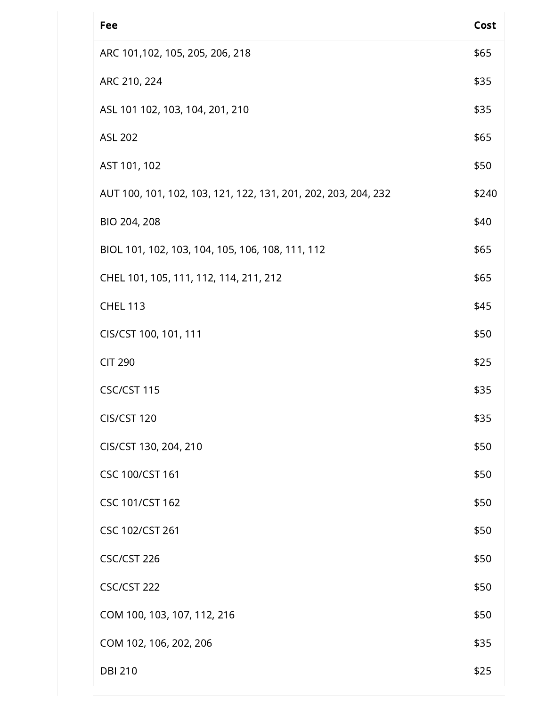| Fee                                                            | Cost  |
|----------------------------------------------------------------|-------|
| ARC 101,102, 105, 205, 206, 218                                | \$65  |
| ARC 210, 224                                                   | \$35  |
| ASL 101 102, 103, 104, 201, 210                                | \$35  |
| <b>ASL 202</b>                                                 | \$65  |
| AST 101, 102                                                   | \$50  |
| AUT 100, 101, 102, 103, 121, 122, 131, 201, 202, 203, 204, 232 | \$240 |
| BIO 204, 208                                                   | \$40  |
| BIOL 101, 102, 103, 104, 105, 106, 108, 111, 112               | \$65  |
| CHEL 101, 105, 111, 112, 114, 211, 212                         | \$65  |
| <b>CHEL 113</b>                                                | \$45  |
| CIS/CST 100, 101, 111                                          | \$50  |
| <b>CIT 290</b>                                                 | \$25  |
| CSC/CST 115                                                    | \$35  |
| CIS/CST 120                                                    | \$35  |
| CIS/CST 130, 204, 210                                          | \$50  |
| <b>CSC 100/CST 161</b>                                         | \$50  |
| CSC 101/CST 162                                                | \$50  |
| CSC 102/CST 261                                                | \$50  |
| CSC/CST 226                                                    | \$50  |
| CSC/CST 222                                                    | \$50  |
| COM 100, 103, 107, 112, 216                                    | \$50  |
| COM 102, 106, 202, 206                                         | \$35  |
| <b>DBI 210</b>                                                 | \$25  |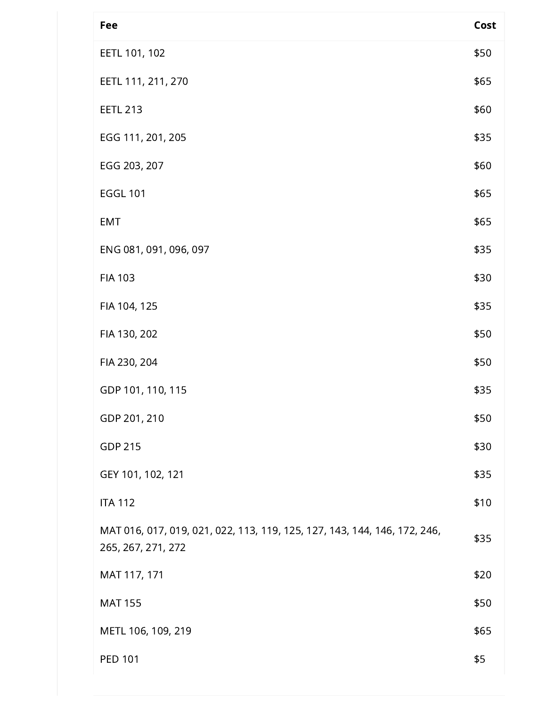| Fee                                                                                             | Cost |
|-------------------------------------------------------------------------------------------------|------|
| EETL 101, 102                                                                                   | \$50 |
| EETL 111, 211, 270                                                                              | \$65 |
| <b>EETL 213</b>                                                                                 | \$60 |
| EGG 111, 201, 205                                                                               | \$35 |
| EGG 203, 207                                                                                    | \$60 |
| <b>EGGL 101</b>                                                                                 | \$65 |
| <b>EMT</b>                                                                                      | \$65 |
| ENG 081, 091, 096, 097                                                                          | \$35 |
| <b>FIA 103</b>                                                                                  | \$30 |
| FIA 104, 125                                                                                    | \$35 |
| FIA 130, 202                                                                                    | \$50 |
| FIA 230, 204                                                                                    | \$50 |
| GDP 101, 110, 115                                                                               | \$35 |
| GDP 201, 210                                                                                    | \$50 |
| <b>GDP 215</b>                                                                                  | \$30 |
| GEY 101, 102, 121                                                                               | \$35 |
| <b>ITA 112</b>                                                                                  | \$10 |
| MAT 016, 017, 019, 021, 022, 113, 119, 125, 127, 143, 144, 146, 172, 246,<br>265, 267, 271, 272 | \$35 |
| MAT 117, 171                                                                                    | \$20 |
| <b>MAT 155</b>                                                                                  | \$50 |
| METL 106, 109, 219                                                                              | \$65 |
| PED 101                                                                                         | \$5  |